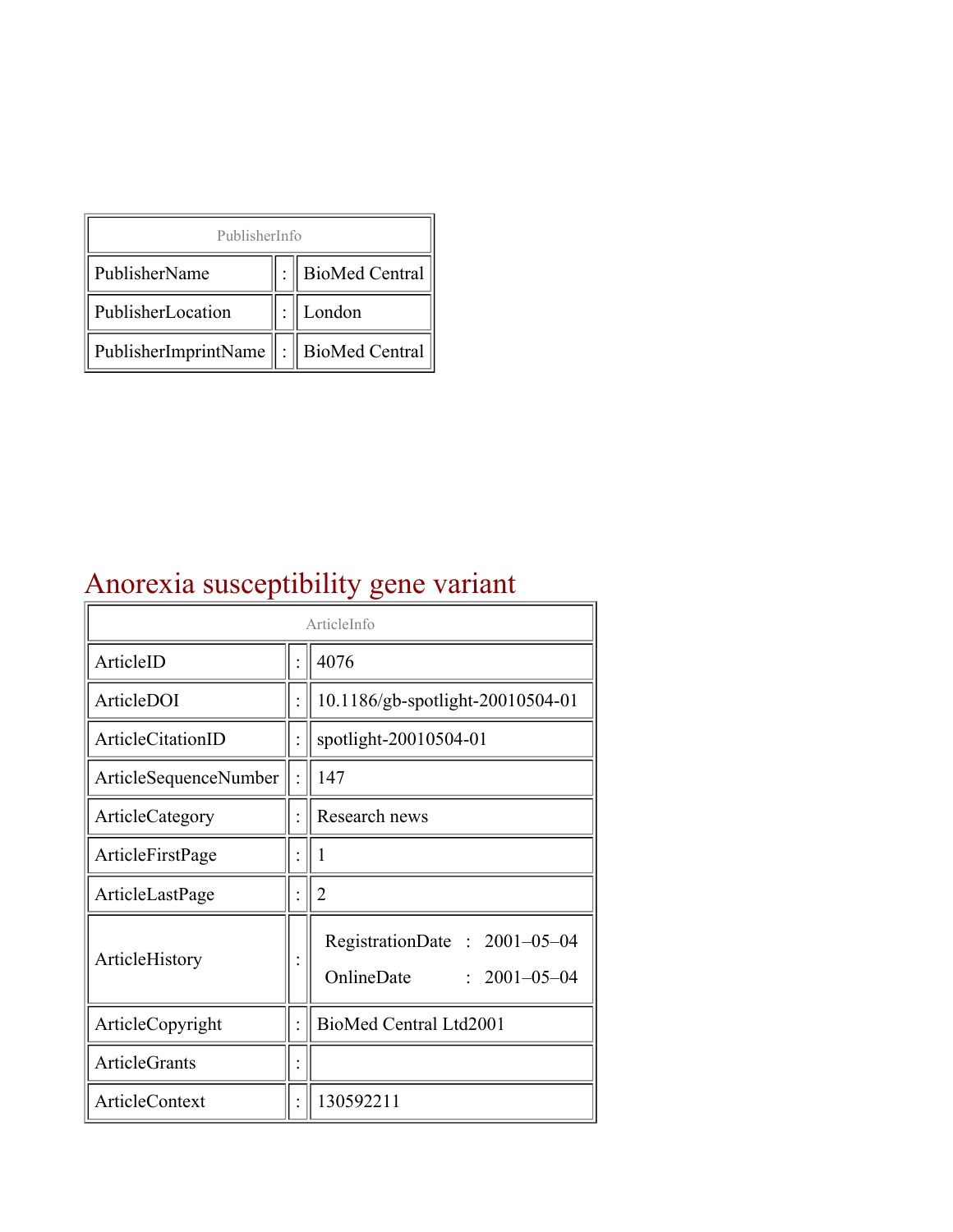| PublisherInfo                                   |  |                    |  |  |
|-------------------------------------------------|--|--------------------|--|--|
| PublisherName                                   |  | :   BioMed Central |  |  |
| PublisherLocation                               |  | London             |  |  |
| PublisherImprintName $\ \cdot\ $ BioMed Central |  |                    |  |  |

## Anorexia susceptibility gene variant

| ArticleInfo           |  |                                                                  |
|-----------------------|--|------------------------------------------------------------------|
| ArticleID             |  | 4076                                                             |
| ArticleDOI            |  | 10.1186/gb-spotlight-20010504-01                                 |
| ArticleCitationID     |  | spotlight-20010504-01                                            |
| ArticleSequenceNumber |  | 147                                                              |
| ArticleCategory       |  | Research news                                                    |
| ArticleFirstPage      |  | 1                                                                |
| ArticleLastPage       |  | $\overline{2}$                                                   |
| ArticleHistory        |  | RegistrationDate: 2001-05-04<br>OnlineDate<br>$: 2001 - 05 - 04$ |
| ArticleCopyright      |  | BioMed Central Ltd2001                                           |
| <b>ArticleGrants</b>  |  |                                                                  |
| ArticleContext        |  | 130592211                                                        |